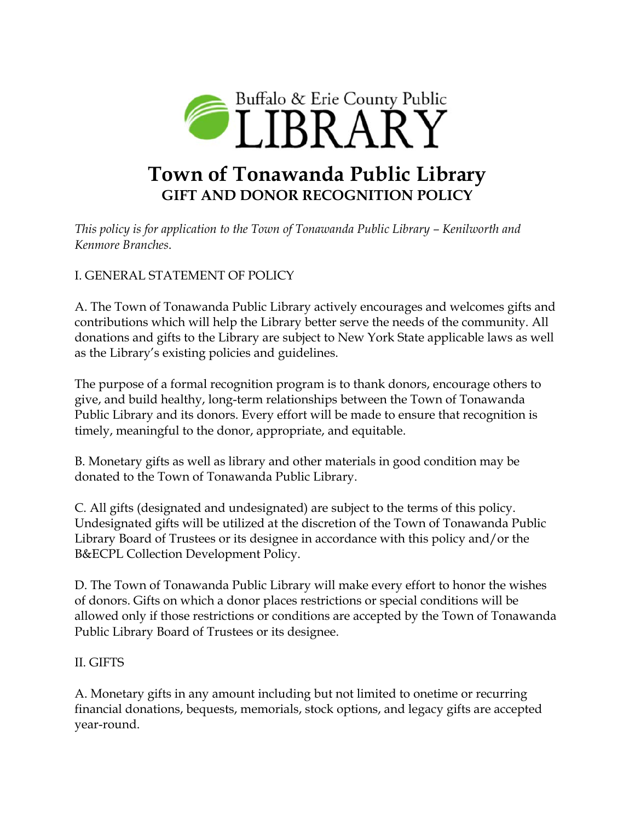

## **Town of Tonawanda Public Library GIFT AND DONOR RECOGNITION POLICY**

*This policy is for application to the Town of Tonawanda Public Library – Kenilworth and Kenmore Branches*.

## I. GENERAL STATEMENT OF POLICY

A. The Town of Tonawanda Public Library actively encourages and welcomes gifts and contributions which will help the Library better serve the needs of the community. All donations and gifts to the Library are subject to New York State applicable laws as well as the Library's existing policies and guidelines.

The purpose of a formal recognition program is to thank donors, encourage others to give, and build healthy, long-term relationships between the Town of Tonawanda Public Library and its donors. Every effort will be made to ensure that recognition is timely, meaningful to the donor, appropriate, and equitable.

B. Monetary gifts as well as library and other materials in good condition may be donated to the Town of Tonawanda Public Library.

C. All gifts (designated and undesignated) are subject to the terms of this policy. Undesignated gifts will be utilized at the discretion of the Town of Tonawanda Public Library Board of Trustees or its designee in accordance with this policy and/or the B&ECPL Collection Development Policy.

D. The Town of Tonawanda Public Library will make every effort to honor the wishes of donors. Gifts on which a donor places restrictions or special conditions will be allowed only if those restrictions or conditions are accepted by the Town of Tonawanda Public Library Board of Trustees or its designee.

## II. GIFTS

A. Monetary gifts in any amount including but not limited to onetime or recurring financial donations, bequests, memorials, stock options, and legacy gifts are accepted year-round.